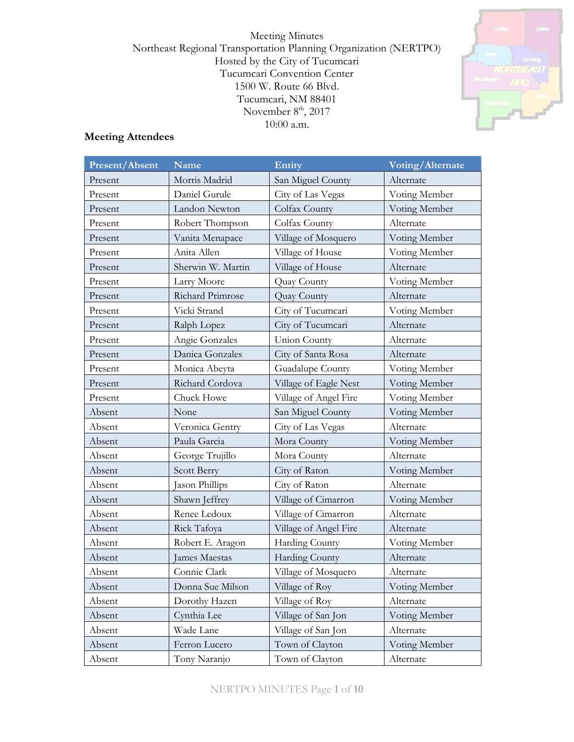Meeting Minutes Northeast Regional Transportation Planning Organization (NERTPO) Hosted by the City of Tucumcari Tucumcari Convention Center 1500 W. Route 66 Blvd. Tucumcari, NM 88401 November  $8<sup>th</sup>$ , 2017 10:00 a.m.



## **Meeting Attendees**

| Present/Absent | <b>Name</b>       | Entity                | Voting/Alternate |  |
|----------------|-------------------|-----------------------|------------------|--|
| Present        | Morris Madrid     | San Miguel County     | Alternate        |  |
| Present        | Daniel Gurule     | City of Las Vegas     | Voting Member    |  |
| Present        | Landon Newton     | Colfax County         | Voting Member    |  |
| Present        | Robert Thompson   | Colfax County         | Alternate        |  |
| Present        | Vanita Menapace   | Village of Mosquero   | Voting Member    |  |
| Present        | Anita Allen       | Village of House      | Voting Member    |  |
| Present        | Sherwin W. Martin | Village of House      | Alternate        |  |
| Present        | Larry Moore       | Quay County           | Voting Member    |  |
| Present        | Richard Primrose  | Quay County           | Alternate        |  |
| Present        | Vicki Strand      | City of Tucumcari     | Voting Member    |  |
| Present        | Ralph Lopez       | City of Tucumcari     | Alternate        |  |
| Present        | Angie Gonzales    | <b>Union County</b>   | Alternate        |  |
| Present        | Danica Gonzales   | City of Santa Rosa    | Alternate        |  |
| Present        | Monica Abeyta     | Guadalupe County      | Voting Member    |  |
| Present        | Richard Cordova   | Village of Eagle Nest | Voting Member    |  |
| Present        | Chuck Howe        | Village of Angel Fire | Voting Member    |  |
| Absent         | None              | San Miguel County     | Voting Member    |  |
| Absent         | Veronica Gentry   | City of Las Vegas     | Alternate        |  |
| Absent         | Paula Garcia      | Mora County           | Voting Member    |  |
| Absent         | George Trujillo   | Mora County           | Alternate        |  |
| Absent         | Scott Berry       | City of Raton         | Voting Member    |  |
| Absent         | Jason Phillips    | City of Raton         | Alternate        |  |
| Absent         | Shawn Jeffrey     | Village of Cimarron   | Voting Member    |  |
| Absent         | Renee Ledoux      | Village of Cimarron   | Alternate        |  |
| Absent         | Rick Tafoya       | Village of Angel Fire | Alternate        |  |
| Absent         | Robert E. Aragon  | Harding County        | Voting Member    |  |
| Absent         | James Maestas     | <b>Harding County</b> | Alternate        |  |
| Absent         | Connie Clark      | Village of Mosquero   | Alternate        |  |
| Absent         | Donna Sue Milson  | Village of Roy        | Voting Member    |  |
| Absent         | Dorothy Hazen     | Village of Roy        | Alternate        |  |
| Absent         | Cynthia Lee       | Village of San Jon    | Voting Member    |  |
| Absent         | Wade Lane         | Village of San Jon    | Alternate        |  |
| Absent         | Ferron Lucero     | Town of Clayton       | Voting Member    |  |
| Absent         | Tony Naranjo      | Town of Clayton       | Alternate        |  |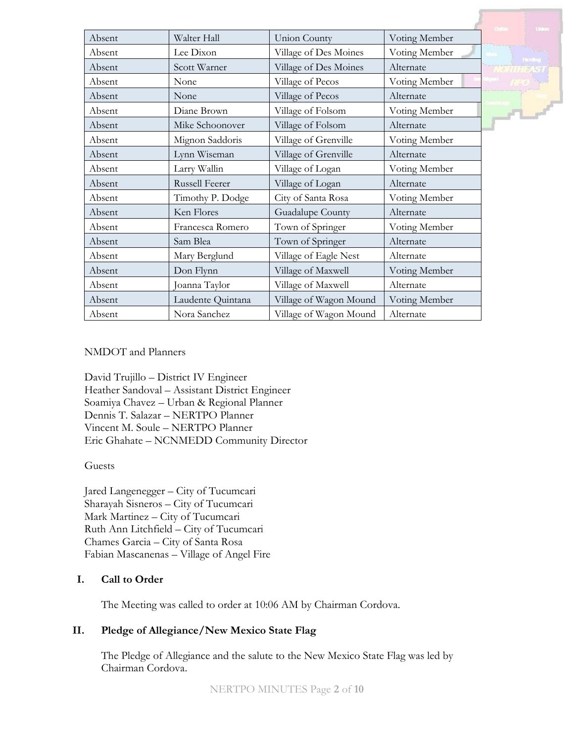|        |                       |                        |               | <b>United</b>                     |
|--------|-----------------------|------------------------|---------------|-----------------------------------|
| Absent | Walter Hall           | Union County           | Voting Member |                                   |
| Absent | Lee Dixon             | Village of Des Moines  | Voting Member |                                   |
| Absent | Scott Warner          | Village of Des Moines  | Alternate     | <b>Handbug</b><br><b>NORTHEAS</b> |
| Absent | None                  | Village of Pecos       | Voting Member |                                   |
| Absent | None                  | Village of Pecos       | Alternate     |                                   |
| Absent | Diane Brown           | Village of Folsom      | Voting Member | $\mathbf{r}$                      |
| Absent | Mike Schoonover       | Village of Folsom      | Alternate     |                                   |
| Absent | Mignon Saddoris       | Village of Grenville   | Voting Member |                                   |
| Absent | Lynn Wiseman          | Village of Grenville   | Alternate     |                                   |
| Absent | Larry Wallin          | Village of Logan       | Voting Member |                                   |
| Absent | <b>Russell Feerer</b> | Village of Logan       | Alternate     |                                   |
| Absent | Timothy P. Dodge      | City of Santa Rosa     | Voting Member |                                   |
| Absent | Ken Flores            | Guadalupe County       | Alternate     |                                   |
| Absent | Francesca Romero      | Town of Springer       | Voting Member |                                   |
| Absent | Sam Blea              | Town of Springer       | Alternate     |                                   |
| Absent | Mary Berglund         | Village of Eagle Nest  | Alternate     |                                   |
| Absent | Don Flynn             | Village of Maxwell     | Voting Member |                                   |
| Absent | Joanna Taylor         | Village of Maxwell     | Alternate     |                                   |
| Absent | Laudente Quintana     | Village of Wagon Mound | Voting Member |                                   |
| Absent | Nora Sanchez          | Village of Wagon Mound | Alternate     |                                   |

## NMDOT and Planners

David Trujillo – District IV Engineer Heather Sandoval – Assistant District Engineer Soamiya Chavez – Urban & Regional Planner Dennis T. Salazar – NERTPO Planner Vincent M. Soule – NERTPO Planner Eric Ghahate – NCNMEDD Community Director

#### Guests

Jared Langenegger – City of Tucumcari Sharayah Sisneros – City of Tucumcari Mark Martinez – City of Tucumcari Ruth Ann Litchfield – City of Tucumcari Chames Garcia – City of Santa Rosa Fabian Mascanenas – Village of Angel Fire

## **I. Call to Order**

The Meeting was called to order at 10:06 AM by Chairman Cordova.

## **II. Pledge of Allegiance/New Mexico State Flag**

The Pledge of Allegiance and the salute to the New Mexico State Flag was led by Chairman Cordova.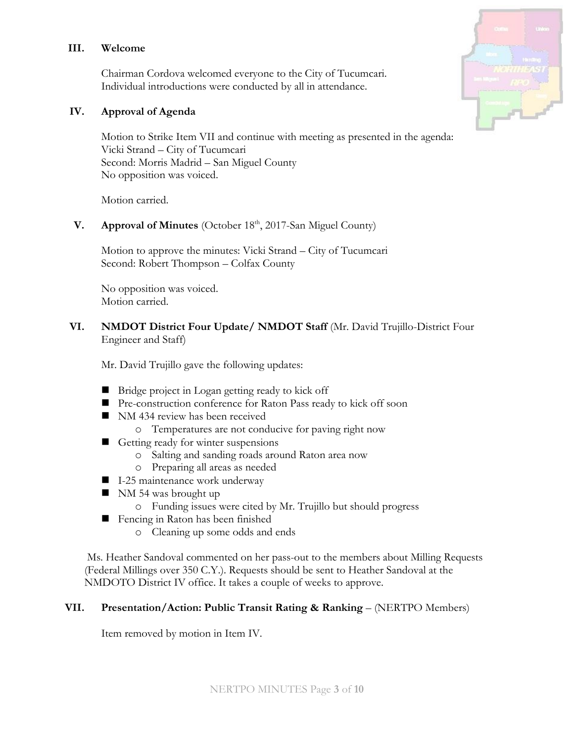### **III. Welcome**

Chairman Cordova welcomed everyone to the City of Tucumcari. Individual introductions were conducted by all in attendance.

### **IV. Approval of Agenda**

Motion to Strike Item VII and continue with meeting as presented in the agenda: Vicki Strand – City of Tucumcari Second: Morris Madrid – San Miguel County No opposition was voiced.

Motion carried.

**V. Approval of Minutes** (October 18<sup>th</sup>, 2017-San Miguel County)

Motion to approve the minutes: Vicki Strand – City of Tucumcari Second: Robert Thompson – Colfax County

No opposition was voiced. Motion carried.

## **VI. NMDOT District Four Update/ NMDOT Staff** (Mr. David Trujillo-District Four Engineer and Staff)

Mr. David Trujillo gave the following updates:

- Bridge project in Logan getting ready to kick off
- Pre-construction conference for Raton Pass ready to kick off soon
- NM 434 review has been received
	- o Temperatures are not conducive for paving right now
- Getting ready for winter suspensions
	- o Salting and sanding roads around Raton area now
	- o Preparing all areas as needed
- I-25 maintenance work underway
- $\blacksquare$  NM 54 was brought up
	- o Funding issues were cited by Mr. Trujillo but should progress
- Fencing in Raton has been finished
	- o Cleaning up some odds and ends

Ms. Heather Sandoval commented on her pass-out to the members about Milling Requests (Federal Millings over 350 C.Y.). Requests should be sent to Heather Sandoval at the NMDOTO District IV office. It takes a couple of weeks to approve.

## **VII. Presentation/Action: Public Transit Rating & Ranking** – (NERTPO Members)

Item removed by motion in Item IV.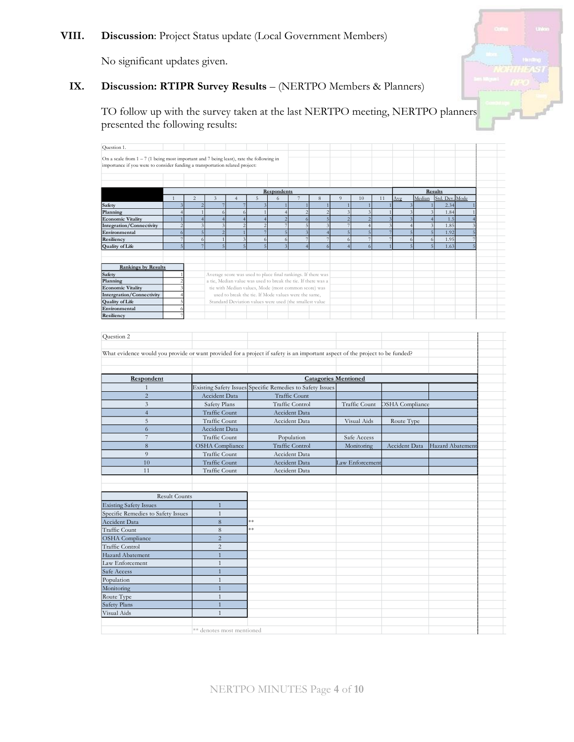## **VIII. Discussion**: Project Status update (Local Government Members)

No significant updates given.

# **IX. Discussion: RTIPR Survey Results** – (NERTPO Members & Planners)

TO follow up with the survey taken at the last NERTPO meeting, NERTPO planners presented the following results:

| Question 1.                                                                                                                  |                                    |                |                                  |                                           |                |                                                                                                                       |                          |                                    |                                   |                                  |        |                        |                     |                                                     |  |
|------------------------------------------------------------------------------------------------------------------------------|------------------------------------|----------------|----------------------------------|-------------------------------------------|----------------|-----------------------------------------------------------------------------------------------------------------------|--------------------------|------------------------------------|-----------------------------------|----------------------------------|--------|------------------------|---------------------|-----------------------------------------------------|--|
| On a scale from $1 - 7$ (1 being most important and 7 being least), rate the following in                                    |                                    |                |                                  |                                           |                |                                                                                                                       |                          |                                    |                                   |                                  |        |                        |                     |                                                     |  |
| importance if you were to consider funding a transportation related project:                                                 |                                    |                |                                  |                                           |                |                                                                                                                       |                          |                                    |                                   |                                  |        |                        |                     |                                                     |  |
|                                                                                                                              |                                    |                |                                  |                                           |                |                                                                                                                       |                          |                                    |                                   |                                  |        |                        |                     |                                                     |  |
|                                                                                                                              |                                    |                |                                  |                                           |                |                                                                                                                       |                          |                                    |                                   |                                  |        |                        |                     |                                                     |  |
|                                                                                                                              |                                    |                |                                  |                                           |                | Respondents                                                                                                           |                          |                                    |                                   |                                  |        |                        |                     | Results                                             |  |
| $\mathbf{1}$                                                                                                                 | $\sqrt{2}$                         |                | $\overline{3}$                   | $\overline{4}$                            | $\overline{5}$ | $\sqrt{6}$                                                                                                            |                          | $\,$ 8 $\,$                        | $\overline{9}$                    | 10                               | $1\,1$ | Avg                    | Median              | Std. Dev. Mode                                      |  |
| Safety                                                                                                                       | $\overline{\mathbf{3}}$            | $\overline{z}$ | $\overline{7}$                   |                                           |                | $\overline{1}$                                                                                                        |                          |                                    | $\overline{1}$                    |                                  |        |                        |                     | 2.34<br>$\,1\,$                                     |  |
| Planning                                                                                                                     | $\overline{4}$                     | $\overline{1}$ | 6                                | $\sigma$                                  | $\overline{1}$ | $\overline{4}$                                                                                                        | $\overline{\phantom{0}}$ | $\overline{\mathcal{L}}$           | $\overline{\mathbf{3}}$           | $\overline{\mathbf{3}}$          |        | $\mathbf{1}$           |                     | $\overline{3}$<br>1.84                              |  |
| <b>Economic Vitality</b>                                                                                                     | $\overline{1}$                     | $\overline{4}$ | $\overline{4}$                   | $\overline{4}$                            | $\overline{4}$ | $\overline{c}$                                                                                                        | 6                        | 5                                  | $\sqrt{2}$                        | $\overline{2}$                   |        | 3                      |                     | $\overline{4}$<br>1.5                               |  |
| <b>Integration/Connectivity</b>                                                                                              | $\sqrt{2}$                         |                | $\overline{\mathbf{3}}$          | $\sqrt{2}$                                | $\overline{c}$ | $\overline{7}$                                                                                                        | 5                        |                                    | $\boldsymbol{7}$                  | $\overline{4}$                   |        |                        | $\overline{4}$      | $\overline{\mathbf{3}}$<br>1.85                     |  |
| Environmental<br>Resiliency                                                                                                  | $\boldsymbol{6}$<br>$\overline{7}$ | 5<br>6         | $\overline{c}$<br>$\overline{1}$ | $\overline{1}$<br>$\overline{\mathbf{3}}$ | 6              | $\overline{5}$<br>$\overline{6}$                                                                                      | $\overline{7}$           | $\overline{4}$<br>7                | $\sqrt{5}$<br>$\ddot{\mathbf{6}}$ | $\overline{5}$<br>$\overline{7}$ |        | $\overline{7}$         | $\overline{5}$<br>6 | $\overline{5}$<br>1.92<br>$\ddot{\text{o}}$<br>1.95 |  |
| <b>Quality of Life</b>                                                                                                       | 5 <sup>1</sup>                     | $\overline{7}$ | 5                                | $\overline{5}$                            | $\overline{5}$ | 3                                                                                                                     | $\overline{4}$           | 6                                  | $\overline{4}$                    |                                  |        |                        | $\overline{5}$      | 1.63<br>$\overline{5}$                              |  |
|                                                                                                                              |                                    |                |                                  |                                           |                |                                                                                                                       |                          |                                    |                                   |                                  |        |                        |                     |                                                     |  |
|                                                                                                                              |                                    |                |                                  |                                           |                |                                                                                                                       |                          |                                    |                                   |                                  |        |                        |                     |                                                     |  |
| <b>Rankings by Results</b>                                                                                                   |                                    |                |                                  |                                           |                |                                                                                                                       |                          |                                    |                                   |                                  |        |                        |                     |                                                     |  |
| Safety                                                                                                                       |                                    |                |                                  |                                           |                | Average score was used to place final rankings. If there was                                                          |                          |                                    |                                   |                                  |        |                        |                     |                                                     |  |
| Planning<br><b>Economic Vitality</b>                                                                                         |                                    |                |                                  |                                           |                | a tie, Median value was used to break the tie. If there was a<br>tie with Median values, Mode (most common score) was |                          |                                    |                                   |                                  |        |                        |                     |                                                     |  |
| Intergration/Connectivity                                                                                                    |                                    |                |                                  |                                           |                | used to break the tie. If Mode values were the same,                                                                  |                          |                                    |                                   |                                  |        |                        |                     |                                                     |  |
| <b>Quality of Life</b>                                                                                                       |                                    |                |                                  |                                           |                | Standard Deviation values were used (the smallest value                                                               |                          |                                    |                                   |                                  |        |                        |                     |                                                     |  |
| Environmental                                                                                                                |                                    |                |                                  |                                           |                |                                                                                                                       |                          |                                    |                                   |                                  |        |                        |                     |                                                     |  |
| Resiliency                                                                                                                   |                                    |                |                                  |                                           |                |                                                                                                                       |                          |                                    |                                   |                                  |        |                        |                     |                                                     |  |
|                                                                                                                              |                                    |                |                                  |                                           |                |                                                                                                                       |                          |                                    |                                   |                                  |        |                        |                     |                                                     |  |
| Question 2                                                                                                                   |                                    |                |                                  |                                           |                |                                                                                                                       |                          |                                    |                                   |                                  |        |                        |                     |                                                     |  |
|                                                                                                                              |                                    |                |                                  |                                           |                |                                                                                                                       |                          |                                    |                                   |                                  |        |                        |                     |                                                     |  |
| What evidence would you provide or want provided for a project if safety is an important aspect of the project to be funded? |                                    |                |                                  |                                           |                |                                                                                                                       |                          |                                    |                                   |                                  |        |                        |                     |                                                     |  |
|                                                                                                                              |                                    |                |                                  |                                           |                |                                                                                                                       |                          |                                    |                                   |                                  |        |                        |                     |                                                     |  |
|                                                                                                                              |                                    |                |                                  |                                           |                |                                                                                                                       |                          |                                    |                                   |                                  |        |                        |                     |                                                     |  |
|                                                                                                                              |                                    |                |                                  |                                           |                |                                                                                                                       |                          |                                    |                                   |                                  |        |                        |                     |                                                     |  |
| Respondent                                                                                                                   |                                    |                |                                  |                                           |                |                                                                                                                       |                          | <b>Catagories Mentioned</b>        |                                   |                                  |        |                        |                     |                                                     |  |
| $\mathbf{1}$                                                                                                                 |                                    |                |                                  | <b>Existing Safety Issues</b>             |                |                                                                                                                       |                          | Specific Remedies to Safety Issues |                                   |                                  |        |                        |                     |                                                     |  |
| $\sqrt{2}$                                                                                                                   |                                    |                | Accident Data                    |                                           |                |                                                                                                                       | Traffic Count            |                                    |                                   |                                  |        |                        |                     |                                                     |  |
| 3                                                                                                                            |                                    |                | Safety Plans                     |                                           |                |                                                                                                                       | Traffic Control          |                                    |                                   | Traffic Count                    |        | <b>OSHA</b> Compliance |                     |                                                     |  |
| $\overline{4}$                                                                                                               |                                    |                | Traffic Count                    |                                           |                |                                                                                                                       | Accident Data            |                                    |                                   |                                  |        |                        |                     |                                                     |  |
| 5                                                                                                                            |                                    |                | Traffic Count                    |                                           |                |                                                                                                                       | Accident Data            |                                    |                                   | Visual Aids                      |        | Route Type             |                     |                                                     |  |
| 6                                                                                                                            |                                    |                | <b>Accident Data</b>             |                                           |                |                                                                                                                       |                          |                                    |                                   |                                  |        |                        |                     |                                                     |  |
| $\overline{7}$                                                                                                               |                                    |                | <b>Traffic Count</b>             |                                           |                |                                                                                                                       | Population               |                                    |                                   | Safe Access                      |        |                        |                     |                                                     |  |
| 8                                                                                                                            |                                    |                | <b>OSHA</b> Compliance           |                                           |                |                                                                                                                       | Traffic Control          |                                    |                                   | Monitoring                       |        | Accident Data          |                     | Hazard Abatement                                    |  |
| 9                                                                                                                            |                                    |                | <b>Traffic Count</b>             |                                           |                |                                                                                                                       | Accident Data            |                                    |                                   |                                  |        |                        |                     |                                                     |  |
| 10                                                                                                                           |                                    |                | <b>Traffic Count</b>             |                                           |                |                                                                                                                       | Accident Data            |                                    |                                   | Law Enforcement                  |        |                        |                     |                                                     |  |
| 11                                                                                                                           |                                    |                | Traffic Count                    |                                           |                |                                                                                                                       | Accident Data            |                                    |                                   |                                  |        |                        |                     |                                                     |  |
|                                                                                                                              |                                    |                |                                  |                                           |                |                                                                                                                       |                          |                                    |                                   |                                  |        |                        |                     |                                                     |  |
|                                                                                                                              |                                    |                |                                  |                                           |                |                                                                                                                       |                          |                                    |                                   |                                  |        |                        |                     |                                                     |  |
| <b>Result Counts</b>                                                                                                         |                                    |                |                                  |                                           |                |                                                                                                                       |                          |                                    |                                   |                                  |        |                        |                     |                                                     |  |
| <b>Existing Safety Issues</b>                                                                                                |                                    |                | $1\,$                            |                                           |                |                                                                                                                       |                          |                                    |                                   |                                  |        |                        |                     |                                                     |  |
| Specific Remedies to Safety Issues                                                                                           |                                    |                | $\mathbf{1}$                     |                                           |                |                                                                                                                       |                          |                                    |                                   |                                  |        |                        |                     |                                                     |  |
| Accident Data                                                                                                                |                                    |                | $\,8\,$                          |                                           | ¥∗             |                                                                                                                       |                          |                                    |                                   |                                  |        |                        |                     |                                                     |  |
| Traffic Count                                                                                                                |                                    |                | $\,8\,$                          |                                           | **             |                                                                                                                       |                          |                                    |                                   |                                  |        |                        |                     |                                                     |  |
| <b>OSHA</b> Compliance                                                                                                       |                                    |                | $\overline{2}$                   |                                           |                |                                                                                                                       |                          |                                    |                                   |                                  |        |                        |                     |                                                     |  |
| Traffic Control                                                                                                              |                                    |                | $\overline{c}$                   |                                           |                |                                                                                                                       |                          |                                    |                                   |                                  |        |                        |                     |                                                     |  |
| Hazard Abatement                                                                                                             |                                    |                | $1\,$                            |                                           |                |                                                                                                                       |                          |                                    |                                   |                                  |        |                        |                     |                                                     |  |
| Law Enforcement                                                                                                              |                                    |                | $\mathbf{1}$                     |                                           |                |                                                                                                                       |                          |                                    |                                   |                                  |        |                        |                     |                                                     |  |
| Safe Access                                                                                                                  |                                    |                | $\overline{1}$                   |                                           |                |                                                                                                                       |                          |                                    |                                   |                                  |        |                        |                     |                                                     |  |
| Population                                                                                                                   |                                    |                | $\mathbf{1}$                     |                                           |                |                                                                                                                       |                          |                                    |                                   |                                  |        |                        |                     |                                                     |  |
| Monitoring                                                                                                                   |                                    |                | $\overline{1}$                   |                                           |                |                                                                                                                       |                          |                                    |                                   |                                  |        |                        |                     |                                                     |  |
|                                                                                                                              |                                    |                | $\mathbf{1}$                     |                                           |                |                                                                                                                       |                          |                                    |                                   |                                  |        |                        |                     |                                                     |  |
| Route Type                                                                                                                   |                                    |                |                                  |                                           |                |                                                                                                                       |                          |                                    |                                   |                                  |        |                        |                     |                                                     |  |
| Safety Plans                                                                                                                 |                                    |                | $\overline{1}$                   |                                           |                |                                                                                                                       |                          |                                    |                                   |                                  |        |                        |                     |                                                     |  |
| Visual Aids                                                                                                                  |                                    |                | $\mathbf{1}$                     |                                           |                |                                                                                                                       |                          |                                    |                                   |                                  |        |                        |                     |                                                     |  |
|                                                                                                                              |                                    |                |                                  |                                           |                |                                                                                                                       |                          |                                    |                                   |                                  |        |                        |                     |                                                     |  |
|                                                                                                                              |                                    |                |                                  | ** denotes most mentioned                 |                |                                                                                                                       |                          |                                    |                                   |                                  |        |                        |                     |                                                     |  |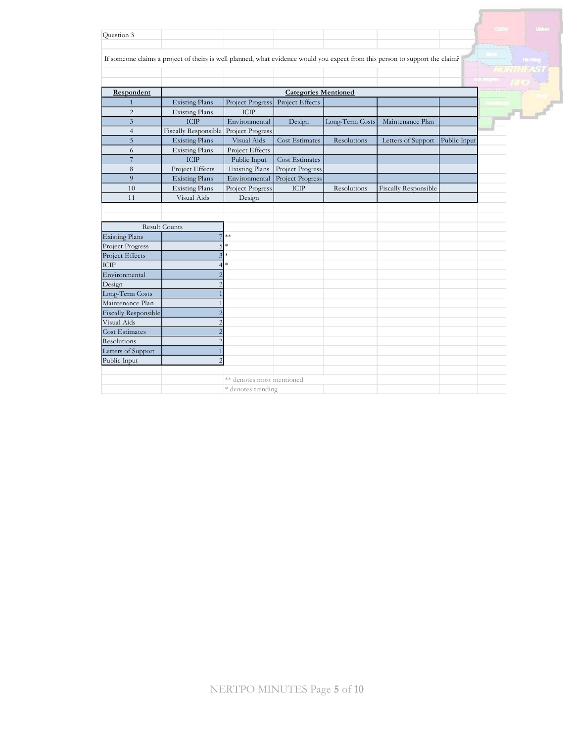| Question 3                  |                                                                                                                              |                           |                             |                 |                      |              |        |
|-----------------------------|------------------------------------------------------------------------------------------------------------------------------|---------------------------|-----------------------------|-----------------|----------------------|--------------|--------|
|                             |                                                                                                                              |                           |                             |                 |                      |              |        |
|                             | If someone claims a project of theirs is well planned, what evidence would you expect from this person to support the claim? |                           |                             |                 |                      |              |        |
|                             |                                                                                                                              |                           |                             |                 |                      |              | WC.    |
|                             |                                                                                                                              |                           |                             |                 |                      |              |        |
| Respondent                  |                                                                                                                              |                           | <b>Categories Mentioned</b> |                 |                      |              |        |
| $\mathbf{1}$                | <b>Existing Plans</b>                                                                                                        | Project Progress          | Project Effects             |                 |                      |              |        |
| $\overline{2}$              | <b>Existing Plans</b>                                                                                                        | ICIP                      |                             |                 |                      |              |        |
| 3                           | $\sf{ICIP}$                                                                                                                  | Environmental             | Design                      | Long-Term Costs | Maintenance Plan     |              | $-7 -$ |
| $\overline{4}$              | Fiscally Responsible                                                                                                         | Project Progress          |                             |                 |                      |              |        |
| 5                           | <b>Existing Plans</b>                                                                                                        | Visual Aids               | Cost Estimates              | Resolutions     | Letters of Support   | Public Input |        |
| 6                           | <b>Existing Plans</b>                                                                                                        | Project Effects           |                             |                 |                      |              |        |
| $\overline{7}$              | $\sf{ICIP}$                                                                                                                  | Public Input              | Cost Estimates              |                 |                      |              |        |
| 8                           | Project Effects                                                                                                              | <b>Existing Plans</b>     | Project Progress            |                 |                      |              |        |
| 9                           | <b>Existing Plans</b>                                                                                                        | Environmental             | Project Progress            |                 |                      |              |        |
| 10                          | <b>Existing Plans</b>                                                                                                        | Project Progress          | $\sf{ICIP}$                 | Resolutions     | Fiscally Responsible |              |        |
| 11                          | Visual Aids                                                                                                                  | Design                    |                             |                 |                      |              |        |
|                             |                                                                                                                              |                           |                             |                 |                      |              |        |
|                             |                                                                                                                              |                           |                             |                 |                      |              |        |
|                             | <b>Result Counts</b>                                                                                                         |                           |                             |                 |                      |              |        |
| <b>Existing Plans</b>       | $\overline{7}$                                                                                                               | $**$                      |                             |                 |                      |              |        |
| Project Progress            | 5                                                                                                                            | sk.                       |                             |                 |                      |              |        |
| Project Effects             | $\overline{3}$                                                                                                               | ×                         |                             |                 |                      |              |        |
| ICIP                        | $\boldsymbol{\Delta}$                                                                                                        |                           |                             |                 |                      |              |        |
| Environmental               | $\overline{c}$                                                                                                               |                           |                             |                 |                      |              |        |
| Design                      | $\overline{c}$                                                                                                               |                           |                             |                 |                      |              |        |
| Long-Term Costs             |                                                                                                                              |                           |                             |                 |                      |              |        |
| Maintenance Plan            |                                                                                                                              |                           |                             |                 |                      |              |        |
| <b>Fiscally Responsible</b> |                                                                                                                              |                           |                             |                 |                      |              |        |
| Visual Aids                 | $\overline{2}$                                                                                                               |                           |                             |                 |                      |              |        |
| <b>Cost Estimates</b>       | $\overline{c}$                                                                                                               |                           |                             |                 |                      |              |        |
| Resolutions                 | $\overline{2}$                                                                                                               |                           |                             |                 |                      |              |        |
| Letters of Support          |                                                                                                                              |                           |                             |                 |                      |              |        |
| Public Input                | $\mathcal{D}$                                                                                                                |                           |                             |                 |                      |              |        |
|                             |                                                                                                                              |                           |                             |                 |                      |              |        |
|                             |                                                                                                                              | ** denotes most mentioned |                             |                 |                      |              |        |
|                             |                                                                                                                              | * denotes trending        |                             |                 |                      |              |        |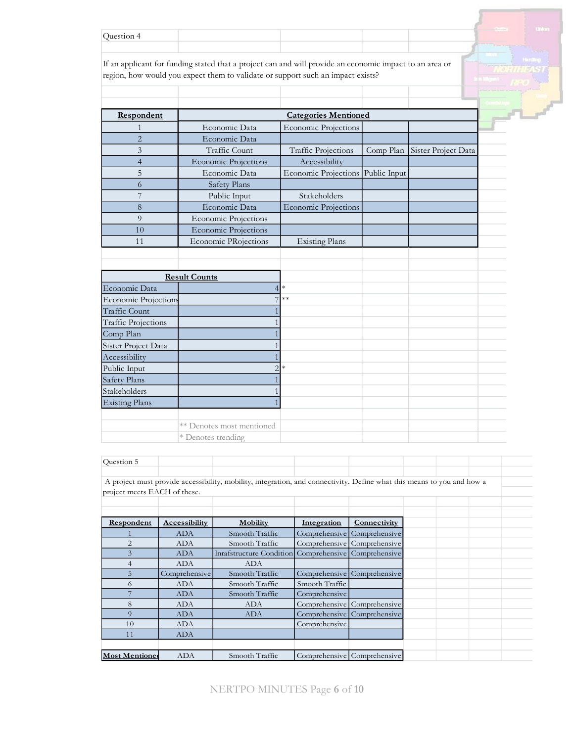| ำnestion. |  |  |                                                              |  |
|-----------|--|--|--------------------------------------------------------------|--|
|           |  |  | the company and company<br><b>Contract Contract Contract</b> |  |

If an applicant for funding stated that a project can and will provide an economic impact to an area or region, how would you expect them to validate or support such an impact exists?

| Respondent     |                             | <b>Categories Mentioned</b>       |           |                     |  |
|----------------|-----------------------------|-----------------------------------|-----------|---------------------|--|
|                | Economic Data               | <b>Economic Projections</b>       |           |                     |  |
| $\overline{2}$ | Economic Data               |                                   |           |                     |  |
| 3              | Traffic Count               | <b>Traffic Projections</b>        | Comp Plan | Sister Project Data |  |
|                | <b>Economic Projections</b> | Accessibility                     |           |                     |  |
| 5              | Economic Data               | Economic Projections Public Input |           |                     |  |
| $\Omega$       | Safety Plans                |                                   |           |                     |  |
|                | Public Input                | Stakeholders                      |           |                     |  |
| 8              | Economic Data               | <b>Economic Projections</b>       |           |                     |  |
| $\Omega$       | <b>Economic Projections</b> |                                   |           |                     |  |
| 10             | <b>Economic Projections</b> |                                   |           |                     |  |
|                | <b>Economic PRojections</b> | <b>Existing Plans</b>             |           |                     |  |

|                             | <b>Result Counts</b>      |        |  |  |
|-----------------------------|---------------------------|--------|--|--|
| Economic Data               |                           | $\ast$ |  |  |
| <b>Economic Projections</b> | 7                         | $***$  |  |  |
| <b>Traffic Count</b>        |                           |        |  |  |
| <b>Traffic Projections</b>  |                           |        |  |  |
| Comp Plan                   |                           |        |  |  |
| Sister Project Data         |                           |        |  |  |
| Accessibility               |                           |        |  |  |
| Public Input                | $\sim$                    | $\ast$ |  |  |
| Safety Plans                |                           |        |  |  |
| Stakeholders                |                           |        |  |  |
| <b>Existing Plans</b>       |                           |        |  |  |
|                             |                           |        |  |  |
|                             | ** Denotes most mentioned |        |  |  |
|                             | * Denotes trending        |        |  |  |

| Question 5                   |                      |                                                                                                                        |                    |                             |  |  |
|------------------------------|----------------------|------------------------------------------------------------------------------------------------------------------------|--------------------|-----------------------------|--|--|
| project meets EACH of these. |                      | A project must provide accessibility, mobility, integration, and connectivity. Define what this means to you and how a |                    |                             |  |  |
| <b>Respondent</b>            | <b>Accessibility</b> | <b>Mobility</b>                                                                                                        | <b>Integration</b> | Connectivity                |  |  |
|                              | <b>ADA</b>           | Smooth Traffic                                                                                                         |                    | Comprehensive Comprehensive |  |  |
| $\overline{2}$               | <b>ADA</b>           | Smooth Traffic                                                                                                         |                    | Comprehensive Comprehensive |  |  |
| 3                            | <b>ADA</b>           | Inrafstructure Condition Comprehensive Comprehensive                                                                   |                    |                             |  |  |
| 4                            | <b>ADA</b>           | <b>ADA</b>                                                                                                             |                    |                             |  |  |
| 5                            | Comprehensive        | Smooth Traffic                                                                                                         |                    | Comprehensive Comprehensive |  |  |
| 6                            | <b>ADA</b>           | Smooth Traffic                                                                                                         | Smooth Traffic     |                             |  |  |
|                              | <b>ADA</b>           | Smooth Traffic                                                                                                         | Comprehensive      |                             |  |  |
| 8                            | <b>ADA</b>           | <b>ADA</b>                                                                                                             |                    | Comprehensive Comprehensive |  |  |
| $\Omega$                     | <b>ADA</b>           | <b>ADA</b>                                                                                                             |                    | Comprehensive Comprehensive |  |  |
| 10                           | <b>ADA</b>           |                                                                                                                        | Comprehensive      |                             |  |  |
| 11                           | <b>ADA</b>           |                                                                                                                        |                    |                             |  |  |
|                              |                      |                                                                                                                        |                    |                             |  |  |
| <b>Most Mentioned</b>        | <b>ADA</b>           | Smooth Traffic                                                                                                         |                    | Comprehensive Comprehensive |  |  |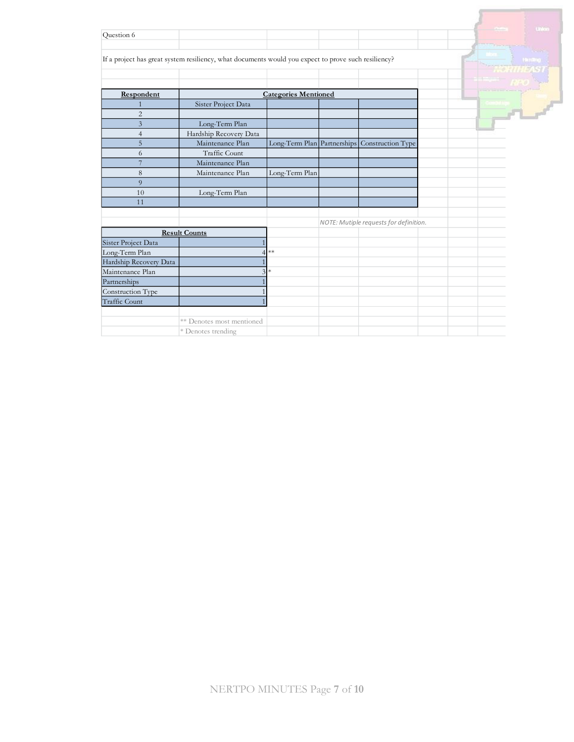|                        |                                                                                                     |                             |                                               |  | <b>United</b> |
|------------------------|-----------------------------------------------------------------------------------------------------|-----------------------------|-----------------------------------------------|--|---------------|
| Question 6             |                                                                                                     |                             |                                               |  |               |
|                        | If a project has great system resiliency, what documents would you expect to prove such resiliency? |                             |                                               |  | <b>Hanno</b>  |
|                        |                                                                                                     |                             |                                               |  |               |
| Respondent             |                                                                                                     | <b>Categories Mentioned</b> |                                               |  |               |
| 1                      | Sister Project Data                                                                                 |                             |                                               |  |               |
| $\overline{2}$         |                                                                                                     |                             |                                               |  | $\mathbf{r}$  |
| $\overline{3}$         | Long-Term Plan                                                                                      |                             |                                               |  |               |
| $\overline{4}$         | Hardship Recovery Data                                                                              |                             |                                               |  |               |
| 5                      | Maintenance Plan                                                                                    |                             | Long-Term Plan Partnerships Construction Type |  |               |
| 6                      | <b>Traffic Count</b>                                                                                |                             |                                               |  |               |
| $\overline{7}$         | Maintenance Plan                                                                                    |                             |                                               |  |               |
| $\,8\,$                | Maintenance Plan                                                                                    | Long-Term Plan              |                                               |  |               |
| $\overline{9}$         |                                                                                                     |                             |                                               |  |               |
| 10                     | Long-Term Plan                                                                                      |                             |                                               |  |               |
| 11                     |                                                                                                     |                             |                                               |  |               |
|                        |                                                                                                     |                             |                                               |  |               |
|                        |                                                                                                     |                             | NOTE: Mutiple requests for definition.        |  |               |
|                        | <b>Result Counts</b>                                                                                |                             |                                               |  |               |
| Sister Project Data    |                                                                                                     |                             |                                               |  |               |
| Long-Term Plan         |                                                                                                     | $**$                        |                                               |  |               |
| Hardship Recovery Data |                                                                                                     |                             |                                               |  |               |
| Maintenance Plan       | $\mathcal{L}$                                                                                       | $\ast$                      |                                               |  |               |
| Partnerships           |                                                                                                     |                             |                                               |  |               |
| Construction Type      |                                                                                                     |                             |                                               |  |               |
| <b>Traffic Count</b>   |                                                                                                     |                             |                                               |  |               |
|                        | ** Denotes most mentioned                                                                           |                             |                                               |  |               |
|                        | * Denotes trending                                                                                  |                             |                                               |  |               |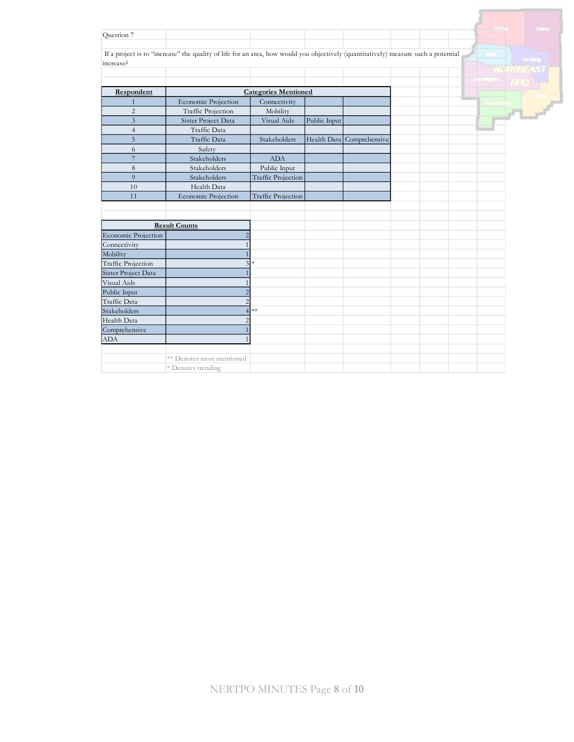| Question 7                |                                                                                                                                    |                             |              |                           |  |                |
|---------------------------|------------------------------------------------------------------------------------------------------------------------------------|-----------------------------|--------------|---------------------------|--|----------------|
| increase?                 | If a project is to "increase" the quality of life for an area, how would you objectively (quantitatively) measure such a potential |                             |              |                           |  | <b>Hanithg</b> |
|                           |                                                                                                                                    |                             |              |                           |  |                |
| Respondent                |                                                                                                                                    | <b>Categories Mentioned</b> |              |                           |  |                |
|                           | <b>Economic Projection</b>                                                                                                         | Connectivity                |              |                           |  |                |
| $\overline{2}$            | Traffic Projection                                                                                                                 | Mobility                    |              |                           |  |                |
| $\overline{3}$            | Sister Project Data                                                                                                                | Visual Aids                 | Public Input |                           |  |                |
| $\overline{4}$            | Traffic Data                                                                                                                       |                             |              |                           |  |                |
| $\overline{5}$            | Traffic Data                                                                                                                       | Stakeholders                |              | Health Data Comprehensive |  |                |
| 6                         | Safety                                                                                                                             |                             |              |                           |  |                |
| $\overline{7}$            | Stakeholders                                                                                                                       | <b>ADA</b>                  |              |                           |  |                |
| 8                         | Stakeholders                                                                                                                       | Public Input                |              |                           |  |                |
| 9                         | Stakeholders                                                                                                                       | <b>Traffic Projection</b>   |              |                           |  |                |
| 10                        | Health Data                                                                                                                        |                             |              |                           |  |                |
| 11                        | Economic Projection                                                                                                                | <b>Traffic Projection</b>   |              |                           |  |                |
|                           |                                                                                                                                    |                             |              |                           |  |                |
|                           |                                                                                                                                    |                             |              |                           |  |                |
|                           | <b>Result Counts</b>                                                                                                               |                             |              |                           |  |                |
| Economic Projection       | 2                                                                                                                                  |                             |              |                           |  |                |
| Connectivity              |                                                                                                                                    |                             |              |                           |  |                |
| Mobility                  |                                                                                                                                    |                             |              |                           |  |                |
| <b>Traffic Projection</b> | 3                                                                                                                                  | $\ast$                      |              |                           |  |                |
| Sister Project Data       |                                                                                                                                    |                             |              |                           |  |                |
| Visual Aids               |                                                                                                                                    |                             |              |                           |  |                |
| Public Input              | $\overline{c}$                                                                                                                     |                             |              |                           |  |                |
| Traffic Data              | $\overline{c}$                                                                                                                     |                             |              |                           |  |                |
| Stakeholders              | $\overline{4}$                                                                                                                     | $**$                        |              |                           |  |                |
| Health Data               | $\overline{2}$                                                                                                                     |                             |              |                           |  |                |
| Comprehensive             |                                                                                                                                    |                             |              |                           |  |                |
| <b>ADA</b>                |                                                                                                                                    |                             |              |                           |  |                |
|                           |                                                                                                                                    |                             |              |                           |  |                |
|                           | ** Denotes most mentioned                                                                                                          |                             |              |                           |  |                |
|                           | * Denotes trending                                                                                                                 |                             |              |                           |  |                |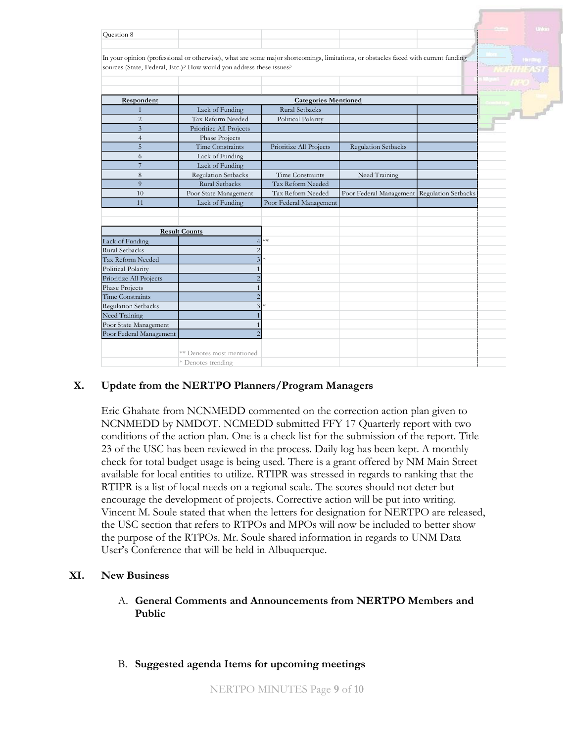|                            |                                                                                                                                     |                         |                            |                            |       | Uniter  |  |  |
|----------------------------|-------------------------------------------------------------------------------------------------------------------------------------|-------------------------|----------------------------|----------------------------|-------|---------|--|--|
| Ouestion 8                 |                                                                                                                                     |                         |                            |                            |       |         |  |  |
|                            |                                                                                                                                     |                         |                            |                            |       |         |  |  |
|                            | In your opinion (professional or otherwise), what are some major shortcomings, limitations, or obstacles faced with current funding |                         |                            |                            |       | Handbug |  |  |
|                            | sources (State, Federal, Etc.)? How would you address these issues?                                                                 |                         |                            |                            | 9 M L |         |  |  |
|                            |                                                                                                                                     |                         |                            |                            |       |         |  |  |
|                            |                                                                                                                                     |                         |                            |                            |       |         |  |  |
| Respondent                 | <b>Categories Mentioned</b>                                                                                                         |                         |                            |                            |       |         |  |  |
| $\mathbf{1}$               | Lack of Funding                                                                                                                     | Rural Setbacks          |                            |                            |       |         |  |  |
| $\overline{2}$             | Tax Reform Needed                                                                                                                   | Political Polarity      |                            |                            |       | $-1$    |  |  |
| $\overline{3}$             | Prioritize All Projects                                                                                                             |                         |                            |                            |       |         |  |  |
| $\overline{4}$             | Phase Projects                                                                                                                      |                         |                            |                            |       |         |  |  |
| 5                          | <b>Time Constraints</b>                                                                                                             | Prioritize All Projects | <b>Regulation Setbacks</b> |                            |       |         |  |  |
| 6                          | Lack of Funding                                                                                                                     |                         |                            |                            |       |         |  |  |
| $\overline{7}$             | Lack of Funding                                                                                                                     |                         |                            |                            |       |         |  |  |
| 8                          | Regulation Setbacks                                                                                                                 | Time Constraints        | Need Training              |                            |       |         |  |  |
| $\overline{9}$             | Rural Setbacks                                                                                                                      | Tax Reform Needed       |                            |                            |       |         |  |  |
| 10                         | Poor State Management                                                                                                               | Tax Reform Needed       | Poor Federal Management    | <b>Regulation Setbacks</b> |       |         |  |  |
| 11                         | Lack of Funding                                                                                                                     | Poor Federal Management |                            |                            |       |         |  |  |
|                            |                                                                                                                                     |                         |                            |                            |       |         |  |  |
|                            |                                                                                                                                     |                         |                            |                            |       |         |  |  |
|                            | <b>Result Counts</b>                                                                                                                |                         |                            |                            |       |         |  |  |
| Lack of Funding            | 4                                                                                                                                   | **                      |                            |                            |       |         |  |  |
| <b>Rural Setbacks</b>      | $\overline{c}$                                                                                                                      |                         |                            |                            |       |         |  |  |
| Tax Reform Needed          | 3                                                                                                                                   |                         |                            |                            |       |         |  |  |
| Political Polarity         |                                                                                                                                     |                         |                            |                            |       |         |  |  |
| Prioritize All Projects    |                                                                                                                                     |                         |                            |                            |       |         |  |  |
| Phase Projects             |                                                                                                                                     |                         |                            |                            |       |         |  |  |
| Time Constraints           | $\overline{2}$                                                                                                                      |                         |                            |                            |       |         |  |  |
| <b>Regulation Setbacks</b> | 3                                                                                                                                   |                         |                            |                            |       |         |  |  |
| Need Training              |                                                                                                                                     |                         |                            |                            |       |         |  |  |
| Poor State Management      |                                                                                                                                     |                         |                            |                            |       |         |  |  |
| Poor Federal Management    |                                                                                                                                     |                         |                            |                            |       |         |  |  |
|                            |                                                                                                                                     |                         |                            |                            |       |         |  |  |
|                            | ** Denotes most mentioned                                                                                                           |                         |                            |                            |       |         |  |  |
|                            | * Denotes trending                                                                                                                  |                         |                            |                            |       |         |  |  |

## **X. Update from the NERTPO Planners/Program Managers**

Eric Ghahate from NCNMEDD commented on the correction action plan given to NCNMEDD by NMDOT. NCMEDD submitted FFY 17 Quarterly report with two conditions of the action plan. One is a check list for the submission of the report. Title 23 of the USC has been reviewed in the process. Daily log has been kept. A monthly check for total budget usage is being used. There is a grant offered by NM Main Street available for local entities to utilize. RTIPR was stressed in regards to ranking that the RTIPR is a list of local needs on a regional scale. The scores should not deter but encourage the development of projects. Corrective action will be put into writing. Vincent M. Soule stated that when the letters for designation for NERTPO are released, the USC section that refers to RTPOs and MPOs will now be included to better show the purpose of the RTPOs. Mr. Soule shared information in regards to UNM Data User's Conference that will be held in Albuquerque.

## **XI. New Business**

- A. **General Comments and Announcements from NERTPO Members and Public**
- B. **Suggested agenda Items for upcoming meetings**